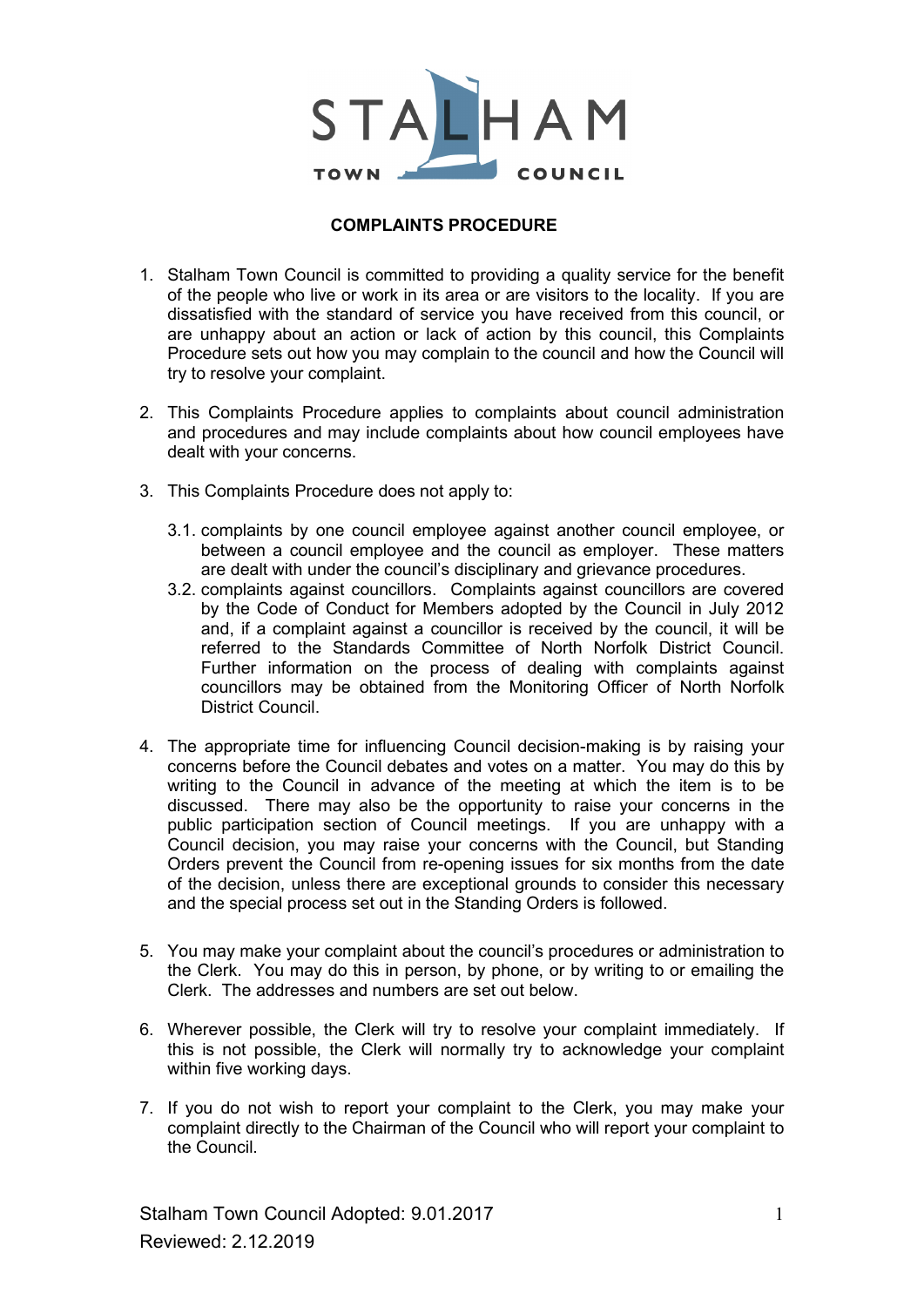

## COMPLAINTS PROCEDURE

- 1. Stalham Town Council is committed to providing a quality service for the benefit of the people who live or work in its area or are visitors to the locality. If you are dissatisfied with the standard of service you have received from this council, or are unhappy about an action or lack of action by this council, this Complaints Procedure sets out how you may complain to the council and how the Council will try to resolve your complaint.
- 2. This Complaints Procedure applies to complaints about council administration and procedures and may include complaints about how council employees have dealt with your concerns.
- 3. This Complaints Procedure does not apply to:
	- 3.1. complaints by one council employee against another council employee, or between a council employee and the council as employer. These matters are dealt with under the council's disciplinary and grievance procedures.
	- 3.2. complaints against councillors. Complaints against councillors are covered by the Code of Conduct for Members adopted by the Council in July 2012 and, if a complaint against a councillor is received by the council, it will be referred to the Standards Committee of North Norfolk District Council. Further information on the process of dealing with complaints against councillors may be obtained from the Monitoring Officer of North Norfolk District Council.
- 4. The appropriate time for influencing Council decision-making is by raising your concerns before the Council debates and votes on a matter. You may do this by writing to the Council in advance of the meeting at which the item is to be discussed. There may also be the opportunity to raise your concerns in the public participation section of Council meetings. If you are unhappy with a Council decision, you may raise your concerns with the Council, but Standing Orders prevent the Council from re-opening issues for six months from the date of the decision, unless there are exceptional grounds to consider this necessary and the special process set out in the Standing Orders is followed.
- 5. You may make your complaint about the council's procedures or administration to the Clerk. You may do this in person, by phone, or by writing to or emailing the Clerk. The addresses and numbers are set out below.
- 6. Wherever possible, the Clerk will try to resolve your complaint immediately. If this is not possible, the Clerk will normally try to acknowledge your complaint within five working days.
- 7. If you do not wish to report your complaint to the Clerk, you may make your complaint directly to the Chairman of the Council who will report your complaint to the Council.